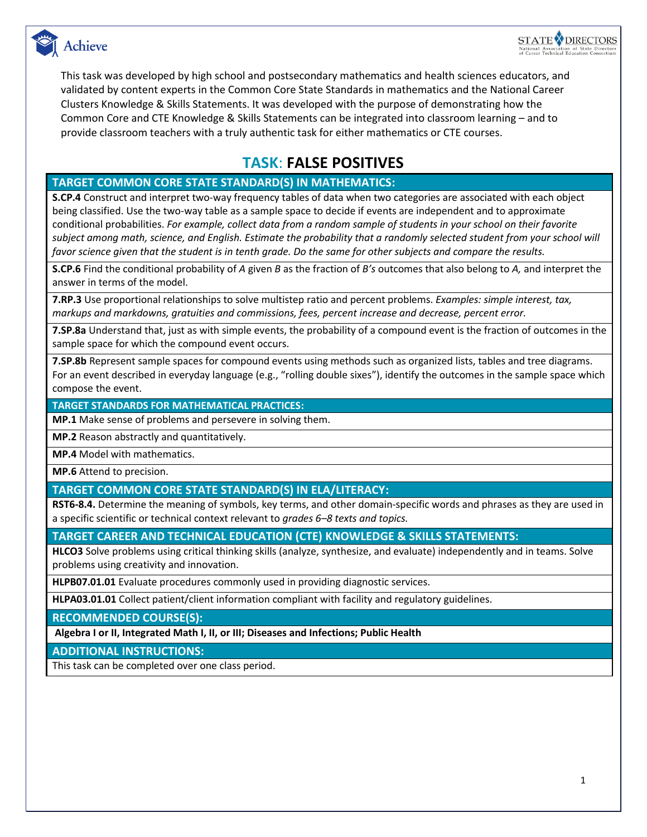

This task was developed by high school and postsecondary mathematics and health sciences educators, and validated by content experts in the Common Core State Standards in mathematics and the National Career Clusters Knowledge & Skills Statements. It was developed with the purpose of demonstrating how the Common Core and CTE Knowledge & Skills Statements can be integrated into classroom learning – and to provide classroom teachers with a truly authentic task for either mathematics or CTE courses.

# **TASK**: **FALSE POSITIVES**

## **TARGET COMMON CORE STATE STANDARD(S) IN MATHEMATICS:**

**S.CP.4** Construct and interpret two-way frequency tables of data when two categories are associated with each object being classified. Use the two-way table as a sample space to decide if events are independent and to approximate conditional probabilities. *For example, collect data from a random sample of students in your school on their favorite subject among math, science, and English. Estimate the probability that a randomly selected student from your school will favor science given that the student is in tenth grade. Do the same for other subjects and compare the results.*

**S.CP.6** Find the conditional probability of *A* given *B* as the fraction of *B's* outcomes that also belong to *A,* and interpret the answer in terms of the model.

**7.RP.3** Use proportional relationships to solve multistep ratio and percent problems. *Examples: simple interest, tax, markups and markdowns, gratuities and commissions, fees, percent increase and decrease, percent error.*

**7.SP.8a** Understand that, just as with simple events, the probability of a compound event is the fraction of outcomes in the sample space for which the compound event occurs.

**7.SP.8b** Represent sample spaces for compound events using methods such as organized lists, tables and tree diagrams. For an event described in everyday language (e.g., "rolling double sixes"), identify the outcomes in the sample space which compose the event.

**TARGET STANDARDS FOR MATHEMATICAL PRACTICES:**

**MP.1** Make sense of problems and persevere in solving them.

**MP.2** Reason abstractly and quantitatively.

**MP.4** Model with mathematics.

**MP.6** Attend to precision.

### **TARGET COMMON CORE STATE STANDARD(S) IN ELA/LITERACY:**

**RST6-8.4.** Determine the meaning of symbols, key terms, and other domain-specific words and phrases as they are used in a specific scientific or technical context relevant to *grades 6–8 texts and topics.*

### **TARGET CAREER AND TECHNICAL EDUCATION (CTE) KNOWLEDGE & SKILLS STATEMENTS:**

**HLCO3** Solve problems using critical thinking skills (analyze, synthesize, and evaluate) independently and in teams. Solve problems using creativity and innovation.

**HLPB07.01.01** Evaluate procedures commonly used in providing diagnostic services.

**HLPA03.01.01** Collect patient/client information compliant with facility and regulatory guidelines.

**RECOMMENDED COURSE(S):**

**Algebra I or II, Integrated Math I, II, or III; Diseases and Infections; Public Health**

**ADDITIONAL INSTRUCTIONS:**

This task can be completed over one class period.

STATE<sup>Y</sup> DIRECTORS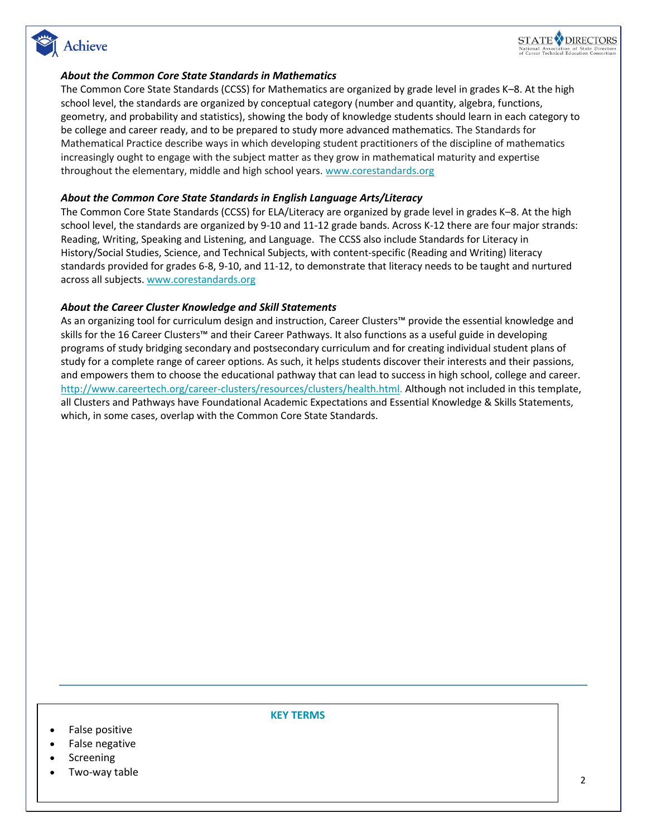



### *About the Common Core State Standards in Mathematics*

The Common Core State Standards (CCSS) for Mathematics are organized by grade level in grades K–8. At the high school level, the standards are organized by conceptual category (number and quantity, algebra, functions, geometry, and probability and statistics), showing the body of knowledge students should learn in each category to be college and career ready, and to be prepared to study more advanced mathematics. The Standards for Mathematical Practice describe ways in which developing student practitioners of the discipline of mathematics increasingly ought to engage with the subject matter as they grow in mathematical maturity and expertise throughout the elementary, middle and high school years. [www.corestandards.org](http://www.corestandards.org/)

### *About the Common Core State Standards in English Language Arts/Literacy*

The Common Core State Standards (CCSS) for ELA/Literacy are organized by grade level in grades K–8. At the high school level, the standards are organized by 9-10 and 11-12 grade bands. Across K-12 there are four major strands: Reading, Writing, Speaking and Listening, and Language. The CCSS also include Standards for Literacy in History/Social Studies, Science, and Technical Subjects, with content-specific (Reading and Writing) literacy standards provided for grades 6-8, 9-10, and 11-12, to demonstrate that literacy needs to be taught and nurtured across all subjects. [www.corestandards.org](http://www.corestandards.org/)

### *About the Career Cluster Knowledge and Skill Statements*

As an organizing tool for curriculum design and instruction, Career Clusters™ provide the essential knowledge and skills for the 16 Career Clusters™ and their Career Pathways. It also functions as a useful guide in developing programs of study bridging secondary and postsecondary curriculum and for creating individual student plans of study for a complete range of career options. As such, it helps students discover their interests and their passions, and empowers them to choose the educational pathway that can lead to success in high school, college and career. [http://www.careertech.org/career-clusters/resources/clusters/health.html.](http://www.careertech.org/career-clusters/resources/clusters/health.html) Although not included in this template, all Clusters and Pathways have Foundational Academic Expectations and Essential Knowledge & Skills Statements, which, in some cases, overlap with the Common Core State Standards.

#### **KEY TERMS**

- False positive
- False negative
- Screening
- Two-way table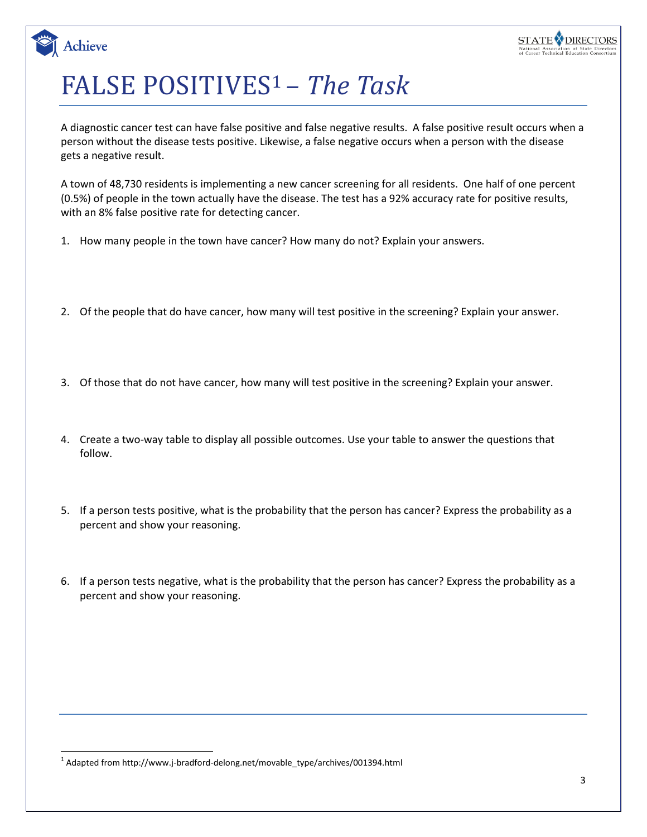

# FALSE POSITIVES<sup>1</sup> *– The Task*

Achieve

A diagnostic cancer test can have false positive and false negative results. A false positive result occurs when a person without the disease tests positive. Likewise, a false negative occurs when a person with the disease gets a negative result.

A town of 48,730 residents is implementing a new cancer screening for all residents. One half of one percent (0.5%) of people in the town actually have the disease. The test has a 92% accuracy rate for positive results, with an 8% false positive rate for detecting cancer.

- 1. How many people in the town have cancer? How many do not? Explain your answers.
- 2. Of the people that do have cancer, how many will test positive in the screening? Explain your answer.
- 3. Of those that do not have cancer, how many will test positive in the screening? Explain your answer.
- 4. Create a two-way table to display all possible outcomes. Use your table to answer the questions that follow.
- 5. If a person tests positive, what is the probability that the person has cancer? Express the probability as a percent and show your reasoning.
- 6. If a person tests negative, what is the probability that the person has cancer? Express the probability as a percent and show your reasoning.

1 Adapted from http://www.j-bradford-delong.net/movable\_type/archives/001394.html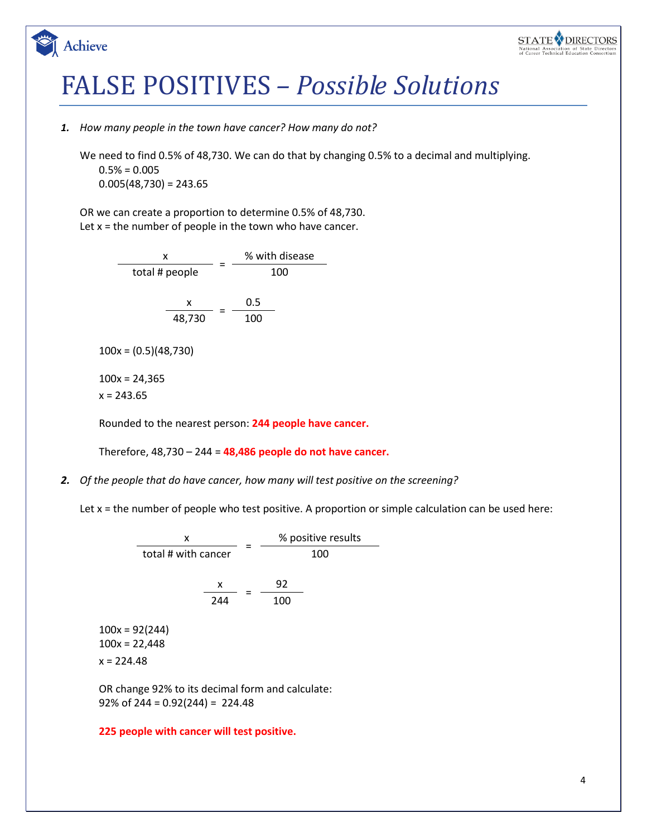

*1. How many people in the town have cancer? How many do not?*

Achieve

We need to find 0.5% of 48,730. We can do that by changing 0.5% to a decimal and multiplying.  $0.5% = 0.005$  $0.005(48,730) = 243.65$ 

OR we can create a proportion to determine 0.5% of 48,730. Let  $x =$  the number of people in the town who have cancer.

| x                               |  | % with disease |  |  |  |  |
|---------------------------------|--|----------------|--|--|--|--|
| total # people                  |  | 100            |  |  |  |  |
| x<br>48,730                     |  | 0.5<br>100     |  |  |  |  |
| $100x = (0.5)(48,730)$          |  |                |  |  |  |  |
| $100x = 24,365$<br>$x = 243.65$ |  |                |  |  |  |  |

Rounded to the nearest person: **244 people have cancer.** 

Therefore, 48,730 – 244 = **48,486 people do not have cancer.**

*2. Of the people that do have cancer, how many will test positive on the screening?* 

Let x = the number of people who test positive. A proportion or simple calculation can be used here:

x = % positive results total # with cancer  $\overline{100}$  $\frac{x}{44} = \frac{92}{488}$ 244 100

 $100x = 92(244)$  $100x = 22,448$  $x = 224.48$ 

OR change 92% to its decimal form and calculate: 92% of 244 =  $0.92(244)$  = 224.48

**225 people with cancer will test positive.**

**STATE V DIRECTORS**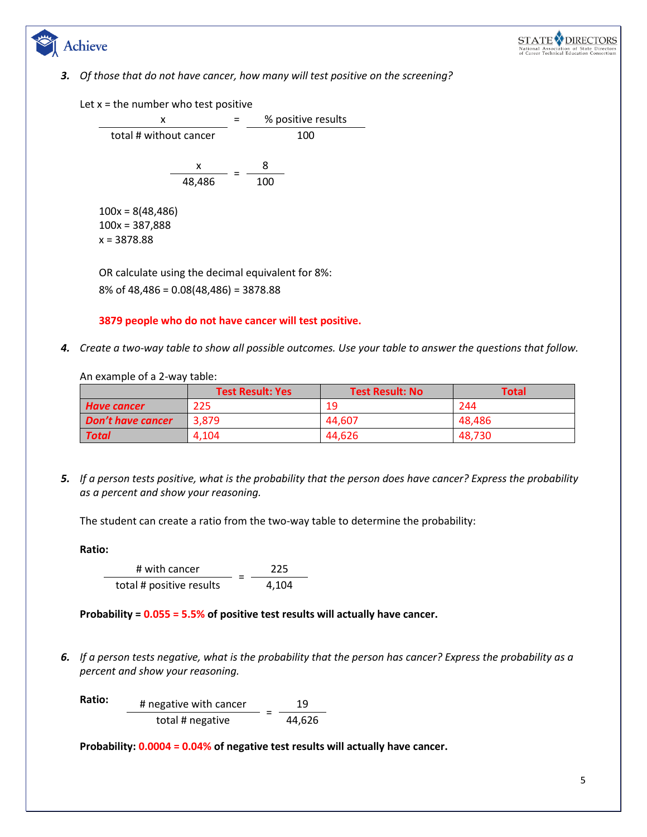



*3. Of those that do not have cancer, how many will test positive on the screening?* 

Let  $x =$  the number who test positive

x = % positive results total # without cancer 100  $\frac{x}{106} = \frac{8}{10}$ 48,486 100

 $100x = 8(48, 486)$ 100x = 387,888 x = 3878.88

OR calculate using the decimal equivalent for 8%: 8% of 48,486 = 0.08(48,486) = 3878.88

**3879 people who do not have cancer will test positive.**

*4. Create a two-way table to show all possible outcomes. Use your table to answer the questions that follow.*

An example of a 2-way table:

|                    | <b>Test Result: Yes</b> | <b>Test Result: No</b> | <b>Total</b> |
|--------------------|-------------------------|------------------------|--------------|
| <b>Have cancer</b> | 225                     | 19                     | 244          |
| Don't have cancer  | 3.879                   | 44.607                 | 48.486       |
| <b>Total</b>       | 4.104                   | 44.626                 | 48.730       |

*5. If a person tests positive, what is the probability that the person does have cancer? Express the probability as a percent and show your reasoning.*

The student can create a ratio from the two-way table to determine the probability:

**Ratio:** 

# with cancer  $\frac{1}{\text{total } \# \text{ positive results}} = \frac{2}{4,104}$ 225

**Probability = 0.055 = 5.5% of positive test results will actually have cancer.**

*6. If a person tests negative, what is the probability that the person has cancer? Express the probability as a percent and show your reasoning.*

**Ratio:**   $\frac{\text{# negative with cancer}}{\text{total H} \cdot \text{cosit}} = \frac{19}{14.66}$ total # negative 44,626

**Probability: 0.0004 = 0.04% of negative test results will actually have cancer.**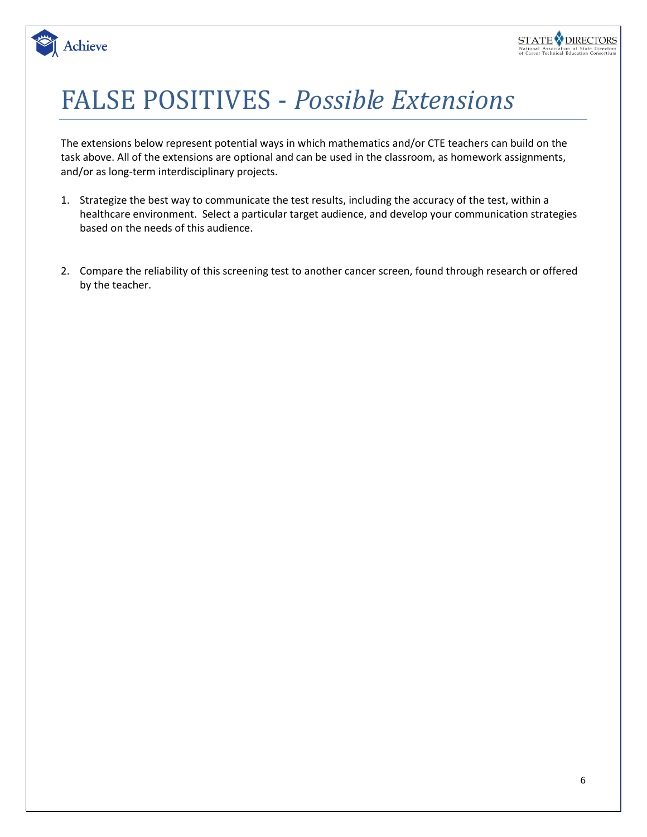

# FALSE POSITIVES - *Possible Extensions*

Achieve

The extensions below represent potential ways in which mathematics and/or CTE teachers can build on the task above. All of the extensions are optional and can be used in the classroom, as homework assignments, and/or as long-term interdisciplinary projects.

- 1. Strategize the best way to communicate the test results, including the accuracy of the test, within a healthcare environment. Select a particular target audience, and develop your communication strategies based on the needs of this audience.
- 2. Compare the reliability of this screening test to another cancer screen, found through research or offered by the teacher.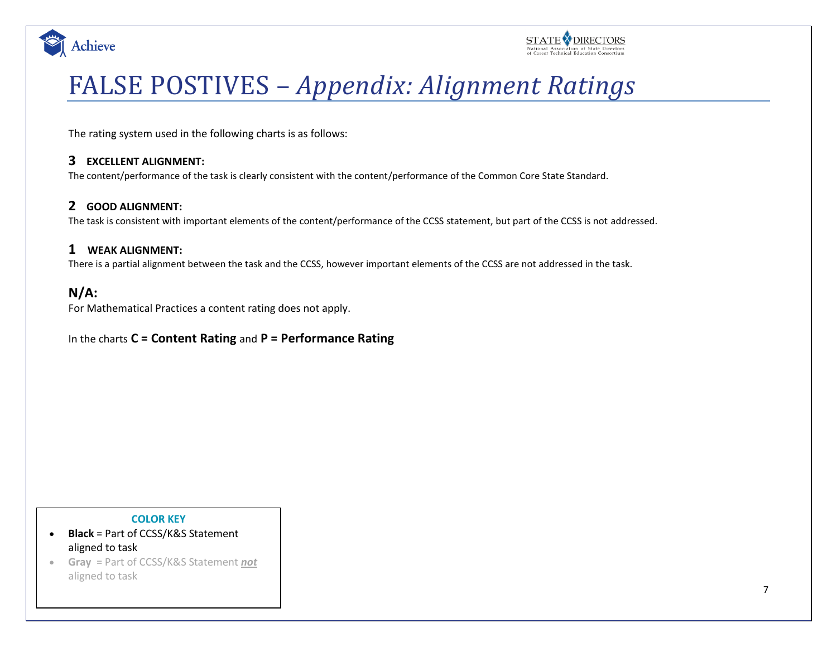



# FALSE POSTIVES – *Appendix: Alignment Ratings*

The rating system used in the following charts is as follows:

## **3 EXCELLENT ALIGNMENT:**

The content/performance of the task is clearly consistent with the content/performance of the Common Core State Standard.

# **2 GOOD ALIGNMENT:**

The task is consistent with important elements of the content/performance of the CCSS statement, but part of the CCSS is not addressed.

## **1 WEAK ALIGNMENT:**

There is a partial alignment between the task and the CCSS, however important elements of the CCSS are not addressed in the task.

# **N/A:**

For Mathematical Practices a content rating does not apply.

## In the charts **C = Content Rating** and **P = Performance Rating**

#### **COLOR KEY**

- **Black** = Part of CCSS/K&S Statement aligned to task
- **Gray** = Part of CCSS/K&S Statement *not* aligned to task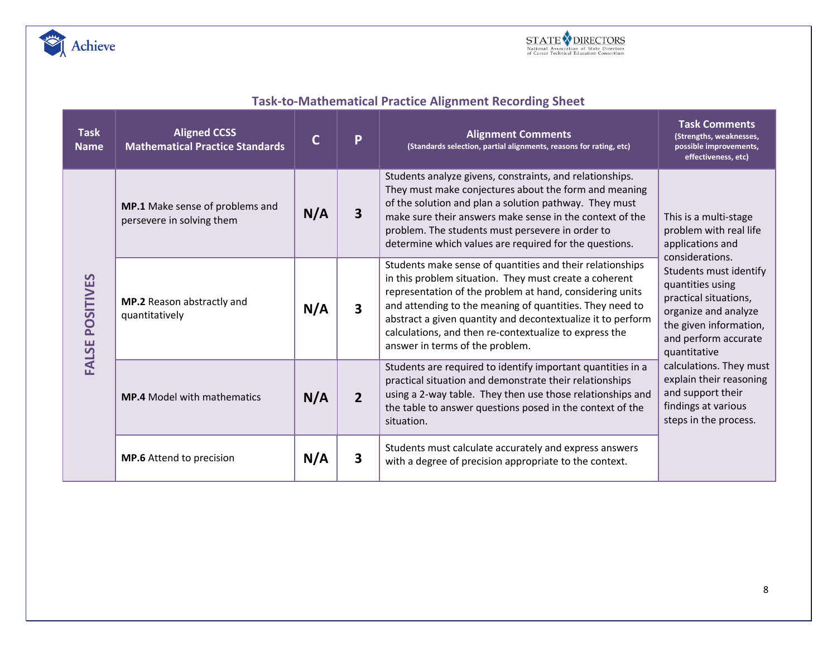



# **Task-to-Mathematical Practice Alignment Recording Sheet**

| <b>Task</b><br><b>Name</b> | <b>Aligned CCSS</b><br><b>Mathematical Practice Standards</b> | $\mathsf{C}$ | P              | <b>Alignment Comments</b><br>(Standards selection, partial alignments, reasons for rating, etc)                                                                                                                                                                                                                                                                                                         | <b>Task Comments</b><br>(Strengths, weaknesses,<br>possible improvements,<br>effectiveness, etc)                                                              |  |
|----------------------------|---------------------------------------------------------------|--------------|----------------|---------------------------------------------------------------------------------------------------------------------------------------------------------------------------------------------------------------------------------------------------------------------------------------------------------------------------------------------------------------------------------------------------------|---------------------------------------------------------------------------------------------------------------------------------------------------------------|--|
| POSITIVES<br>FALSE         | MP.1 Make sense of problems and<br>persevere in solving them  | N/A          | 3              | Students analyze givens, constraints, and relationships.<br>They must make conjectures about the form and meaning<br>of the solution and plan a solution pathway. They must<br>make sure their answers make sense in the context of the<br>problem. The students must persevere in order to<br>determine which values are required for the questions.                                                   | This is a multi-stage<br>problem with real life<br>applications and<br>considerations.                                                                        |  |
|                            | MP.2 Reason abstractly and<br>N/A<br>3<br>quantitatively      |              |                | Students make sense of quantities and their relationships<br>in this problem situation. They must create a coherent<br>representation of the problem at hand, considering units<br>and attending to the meaning of quantities. They need to<br>abstract a given quantity and decontextualize it to perform<br>calculations, and then re-contextualize to express the<br>answer in terms of the problem. | Students must identify<br>quantities using<br>practical situations,<br>organize and analyze<br>the given information,<br>and perform accurate<br>quantitative |  |
|                            | <b>MP.4</b> Model with mathematics                            | N/A          | $\overline{2}$ | Students are required to identify important quantities in a<br>practical situation and demonstrate their relationships<br>using a 2-way table. They then use those relationships and<br>the table to answer questions posed in the context of the<br>situation.                                                                                                                                         | calculations. They must<br>explain their reasoning<br>and support their<br>findings at various<br>steps in the process.                                       |  |
|                            | <b>MP.6</b> Attend to precision                               | N/A          | 3              | Students must calculate accurately and express answers<br>with a degree of precision appropriate to the context.                                                                                                                                                                                                                                                                                        |                                                                                                                                                               |  |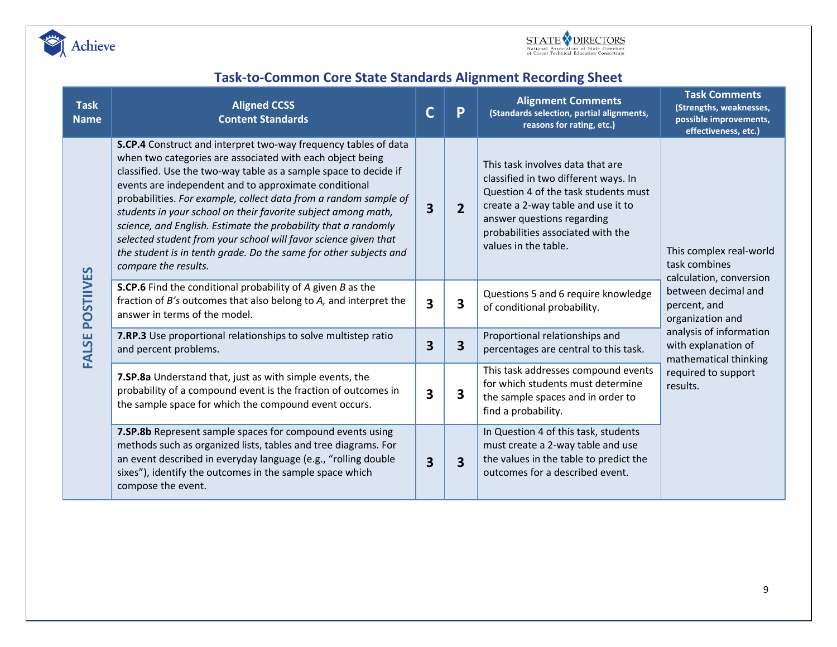



# **Task-to-Common Core State Standards Alignment Recording Sheet**

| <b>Task</b><br><b>Name</b> | <b>Aligned CCSS</b><br><b>Content Standards</b>                                                                                                                                                                                                                                                                                                                                                                                                                                                                                                                                                                                                                                                                                        |  | P                                                                                 | <b>Alignment Comments</b><br>(Standards selection, partial alignments,<br>reasons for rating, etc.)                                                                                                                                               | <b>Task Comments</b><br>(Strengths, weaknesses,<br>possible improvements,<br>effectiveness, etc.) |
|----------------------------|----------------------------------------------------------------------------------------------------------------------------------------------------------------------------------------------------------------------------------------------------------------------------------------------------------------------------------------------------------------------------------------------------------------------------------------------------------------------------------------------------------------------------------------------------------------------------------------------------------------------------------------------------------------------------------------------------------------------------------------|--|-----------------------------------------------------------------------------------|---------------------------------------------------------------------------------------------------------------------------------------------------------------------------------------------------------------------------------------------------|---------------------------------------------------------------------------------------------------|
| <b>POSTIIVES</b><br>FALSE  | S.CP.4 Construct and interpret two-way frequency tables of data<br>when two categories are associated with each object being<br>classified. Use the two-way table as a sample space to decide if<br>events are independent and to approximate conditional<br>probabilities. For example, collect data from a random sample of<br>students in your school on their favorite subject among math,<br>science, and English. Estimate the probability that a randomly<br>selected student from your school will favor science given that<br>the student is in tenth grade. Do the same for other subjects and<br>compare the results.                                                                                                       |  | $\overline{2}$                                                                    | This task involves data that are<br>classified in two different ways. In<br>Question 4 of the task students must<br>create a 2-way table and use it to<br>answer questions regarding<br>probabilities associated with the<br>values in the table. | This complex real-world<br>task combines<br>calculation, conversion                               |
|                            | S.CP.6 Find the conditional probability of A given B as the<br>fraction of B's outcomes that also belong to A, and interpret the<br>answer in terms of the model.<br>7.RP.3 Use proportional relationships to solve multistep ratio<br>and percent problems.<br>7.SP.8a Understand that, just as with simple events, the<br>probability of a compound event is the fraction of outcomes in<br>the sample space for which the compound event occurs.<br>7.SP.8b Represent sample spaces for compound events using<br>methods such as organized lists, tables and tree diagrams. For<br>an event described in everyday language (e.g., "rolling double<br>sixes"), identify the outcomes in the sample space which<br>compose the event. |  | 3                                                                                 | Questions 5 and 6 require knowledge<br>of conditional probability.                                                                                                                                                                                | between decimal and<br>percent, and<br>organization and                                           |
|                            |                                                                                                                                                                                                                                                                                                                                                                                                                                                                                                                                                                                                                                                                                                                                        |  | Proportional relationships and<br>3<br>3<br>percentages are central to this task. | analysis of information<br>with explanation of<br>mathematical thinking                                                                                                                                                                           |                                                                                                   |
|                            |                                                                                                                                                                                                                                                                                                                                                                                                                                                                                                                                                                                                                                                                                                                                        |  | 3                                                                                 | This task addresses compound events<br>for which students must determine<br>the sample spaces and in order to<br>find a probability.                                                                                                              | required to support<br>results.                                                                   |
|                            |                                                                                                                                                                                                                                                                                                                                                                                                                                                                                                                                                                                                                                                                                                                                        |  | 3                                                                                 | In Question 4 of this task, students<br>must create a 2-way table and use<br>the values in the table to predict the<br>outcomes for a described event.                                                                                            |                                                                                                   |